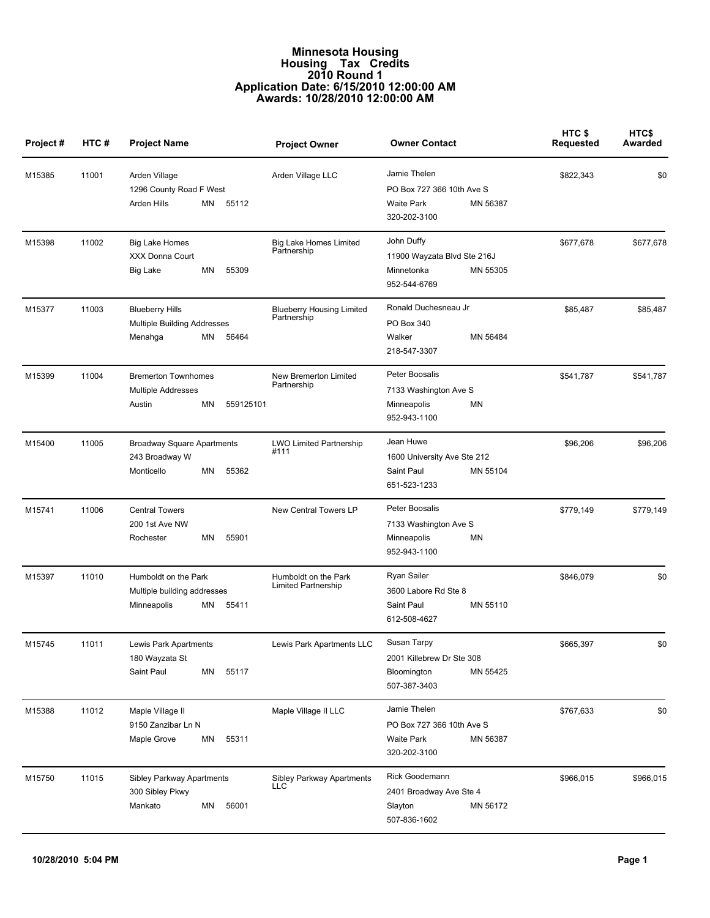## **Minnesota Housing Housing Tax Credits 2010 Round 1 Application Date: 6/15/2010 12:00:00 AM Awards: 10/28/2010 12:00:00 AM**

| Project# | HTC#  | <b>Project Name</b>                                                                  | <b>Project Owner</b>                            | <b>Owner Contact</b>                                                                       | HTC \$<br><b>Requested</b> | <b>HTCS</b><br>Awarded |
|----------|-------|--------------------------------------------------------------------------------------|-------------------------------------------------|--------------------------------------------------------------------------------------------|----------------------------|------------------------|
| M15385   | 11001 | Arden Village<br>1296 County Road F West<br>Arden Hills<br>MN<br>55112               | Arden Village LLC                               | Jamie Thelen<br>PO Box 727 366 10th Ave S<br><b>Waite Park</b><br>MN 56387<br>320-202-3100 | \$822,343                  | \$0                    |
| M15398   | 11002 | <b>Big Lake Homes</b><br>XXX Donna Court<br>ΜN<br>55309<br>Big Lake                  | <b>Big Lake Homes Limited</b><br>Partnership    | John Duffy<br>11900 Wayzata Blvd Ste 216J<br>MN 55305<br>Minnetonka<br>952-544-6769        | \$677,678                  | \$677,678              |
| M15377   | 11003 | <b>Blueberry Hills</b><br>Multiple Building Addresses<br>ΜN<br>56464<br>Menahga      | <b>Blueberry Housing Limited</b><br>Partnership | Ronald Duchesneau Jr<br>PO Box 340<br>Walker<br>MN 56484<br>218-547-3307                   | \$85,487                   | \$85,487               |
| M15399   | 11004 | <b>Bremerton Townhomes</b><br><b>Multiple Addresses</b><br>Austin<br>559125101<br>ΜN | New Bremerton Limited<br>Partnership            | Peter Boosalis<br>7133 Washington Ave S<br>MN<br>Minneapolis<br>952-943-1100               | \$541,787                  | \$541,787              |
| M15400   | 11005 | <b>Broadway Square Apartments</b><br>243 Broadway W<br>Monticello<br>ΜN<br>55362     | LWO Limited Partnership<br>#111                 | Jean Huwe<br>1600 University Ave Ste 212<br>Saint Paul<br>MN 55104<br>651-523-1233         | \$96,206                   | \$96,206               |
| M15741   | 11006 | <b>Central Towers</b><br>200 1st Ave NW<br>MN<br>55901<br>Rochester                  | New Central Towers LP                           | Peter Boosalis<br>7133 Washington Ave S<br>MN<br>Minneapolis<br>952-943-1100               | \$779,149                  | \$779,149              |
| M15397   | 11010 | Humboldt on the Park<br>Multiple building addresses<br>ΜN<br>55411<br>Minneapolis    | Humboldt on the Park<br>Limited Partnership     | Ryan Sailer<br>3600 Labore Rd Ste 8<br>Saint Paul<br>MN 55110<br>612-508-4627              | \$846,079                  | \$0                    |
| M15745   | 11011 | Lewis Park Apartments<br>180 Wayzata St<br>Saint Paul<br>55117<br>MN                 | Lewis Park Apartments LLC                       | Susan Tarpy<br>2001 Killebrew Dr Ste 308<br>Bloomington<br>MN 55425<br>507-387-3403        | \$665,397                  | \$0                    |
| M15388   | 11012 | Maple Village II<br>9150 Zanzibar Ln N<br>Maple Grove<br>ΜN<br>55311                 | Maple Village II LLC                            | Jamie Thelen<br>PO Box 727 366 10th Ave S<br><b>Waite Park</b><br>MN 56387<br>320-202-3100 | \$767,633                  | \$0                    |
| M15750   | 11015 | Sibley Parkway Apartments<br>300 Sibley Pkwy<br>56001<br>Mankato<br>ΜN               | Sibley Parkway Apartments<br>LLC                | Rick Goodemann<br>2401 Broadway Ave Ste 4<br>Slayton<br>MN 56172<br>507-836-1602           | \$966,015                  | \$966,015              |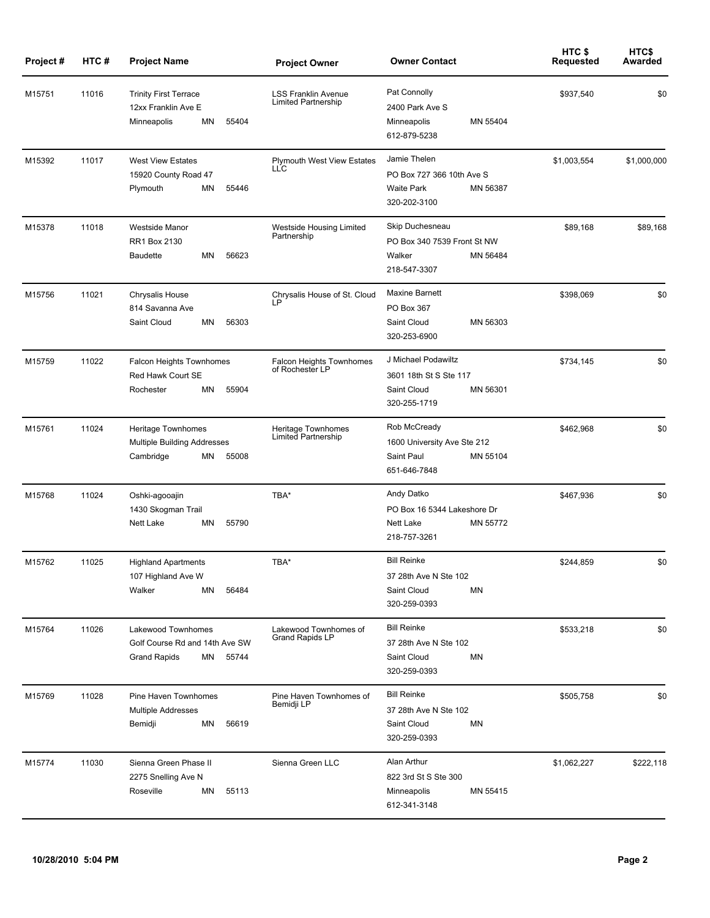| Project# | HTC#  | <b>Project Name</b>                                                                        | <b>Project Owner</b>                               | <b>Owner Contact</b>                                                                       | HTC\$<br>Requested | HTC\$<br>Awarded |
|----------|-------|--------------------------------------------------------------------------------------------|----------------------------------------------------|--------------------------------------------------------------------------------------------|--------------------|------------------|
| M15751   | 11016 | <b>Trinity First Terrace</b><br>12xx Franklin Ave E<br>ΜN<br>55404<br>Minneapolis          | <b>LSS Franklin Avenue</b><br>Limited Partnership  | Pat Connolly<br>2400 Park Ave S<br>MN 55404<br>Minneapolis<br>612-879-5238                 | \$937,540          | \$0              |
| M15392   | 11017 | <b>West View Estates</b><br>15920 County Road 47<br>Plymouth<br>ΜN<br>55446                | <b>Plymouth West View Estates</b><br><b>LLC</b>    | Jamie Thelen<br>PO Box 727 366 10th Ave S<br><b>Waite Park</b><br>MN 56387<br>320-202-3100 | \$1,003,554        | \$1,000,000      |
| M15378   | 11018 | Westside Manor<br>RR1 Box 2130<br><b>Baudette</b><br>ΜN<br>56623                           | Westside Housing Limited<br>Partnership            | Skip Duchesneau<br>PO Box 340 7539 Front St NW<br>Walker<br>MN 56484<br>218-547-3307       | \$89,168           | \$89,168         |
| M15756   | 11021 | <b>Chrysalis House</b><br>814 Savanna Ave<br>Saint Cloud<br>ΜN<br>56303                    | Chrysalis House of St. Cloud<br><b>LP</b>          | <b>Maxine Barnett</b><br>PO Box 367<br>Saint Cloud<br>MN 56303<br>320-253-6900             | \$398,069          | \$0              |
| M15759   | 11022 | <b>Falcon Heights Townhomes</b><br>Red Hawk Court SE<br>Rochester<br>ΜN<br>55904           | <b>Falcon Heights Townhomes</b><br>of Rochester LP | J Michael Podawiltz<br>3601 18th St S Ste 117<br>Saint Cloud<br>MN 56301<br>320-255-1719   | \$734,145          | \$0              |
| M15761   | 11024 | Heritage Townhomes<br><b>Multiple Building Addresses</b><br>ΜN<br>55008<br>Cambridge       | Heritage Townhomes<br>Limited Partnership          | Rob McCready<br>1600 University Ave Ste 212<br>Saint Paul<br>MN 55104<br>651-646-7848      | \$462,968          | \$0              |
| M15768   | 11024 | Oshki-agooajin<br>1430 Skogman Trail<br>Nett Lake<br>ΜN<br>55790                           | TBA*                                               | Andy Datko<br>PO Box 16 5344 Lakeshore Dr<br><b>Nett Lake</b><br>MN 55772<br>218-757-3261  | \$467,936          | \$0              |
| M15762   | 11025 | <b>Highland Apartments</b><br>107 Highland Ave W<br>Walker<br>ΜN<br>56484                  | TBA*                                               | <b>Bill Reinke</b><br>37 28th Ave N Ste 102<br>Saint Cloud<br>MN<br>320-259-0393           | \$244,859          | \$0              |
| M15764   | 11026 | Lakewood Townhomes<br>Golf Course Rd and 14th Ave SW<br><b>Grand Rapids</b><br>ΜN<br>55744 | Lakewood Townhomes of<br><b>Grand Rapids LP</b>    | <b>Bill Reinke</b><br>37 28th Ave N Ste 102<br><b>MN</b><br>Saint Cloud<br>320-259-0393    | \$533,218          | \$0              |
| M15769   | 11028 | Pine Haven Townhomes<br><b>Multiple Addresses</b><br>Bemidji<br>ΜN<br>56619                | Pine Haven Townhomes of<br>Bemidji LP              | <b>Bill Reinke</b><br>37 28th Ave N Ste 102<br>Saint Cloud<br>MN<br>320-259-0393           | \$505,758          | \$0              |
| M15774   | 11030 | Sienna Green Phase II<br>2275 Snelling Ave N<br>Roseville<br>MN<br>55113                   | Sienna Green LLC                                   | Alan Arthur<br>822 3rd St S Ste 300<br>Minneapolis<br>MN 55415<br>612-341-3148             | \$1,062,227        | \$222,118        |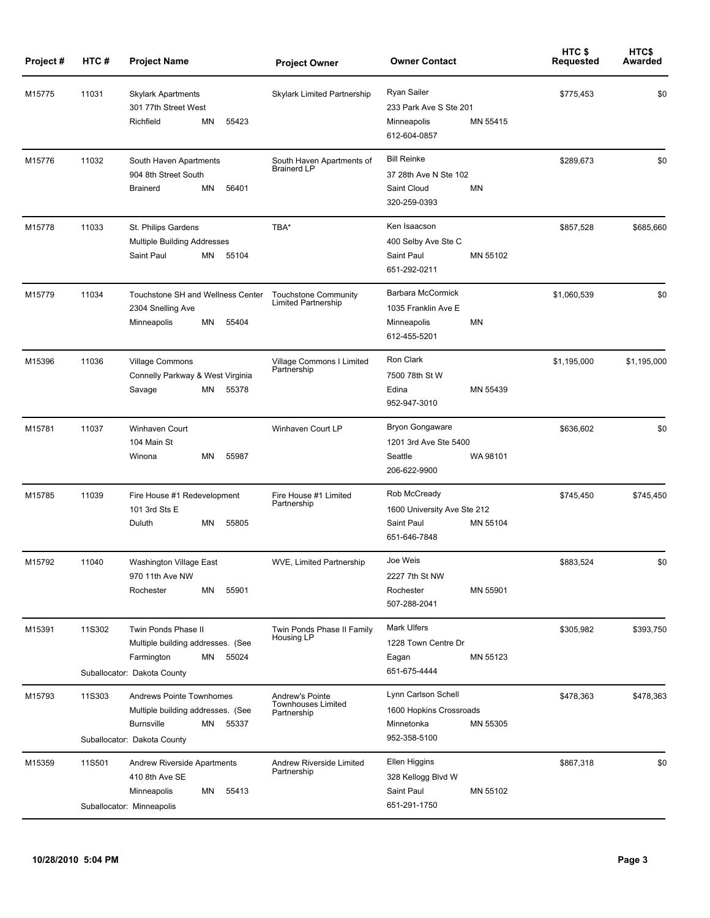| Project# | HTC#   | <b>Project Name</b>                                                                                                                     | <b>Project Owner</b>                                        | <b>Owner Contact</b>                                                                     | HTC \$<br><b>Requested</b> | HTC\$<br>Awarded |
|----------|--------|-----------------------------------------------------------------------------------------------------------------------------------------|-------------------------------------------------------------|------------------------------------------------------------------------------------------|----------------------------|------------------|
| M15775   | 11031  | <b>Skylark Apartments</b><br>301 77th Street West<br>55423<br>Richfield<br>ΜN                                                           | Skylark Limited Partnership                                 | Ryan Sailer<br>233 Park Ave S Ste 201<br>MN 55415<br>Minneapolis<br>612-604-0857         | \$775,453                  | \$0              |
| M15776   | 11032  | South Haven Apartments<br>904 8th Street South<br><b>Brainerd</b><br>ΜN<br>56401                                                        | South Haven Apartments of<br><b>Brainerd LP</b>             | <b>Bill Reinke</b><br>37 28th Ave N Ste 102<br>Saint Cloud<br>MN<br>320-259-0393         | \$289,673                  | \$0              |
| M15778   | 11033  | St. Philips Gardens<br><b>Multiple Building Addresses</b><br>Saint Paul<br>ΜN<br>55104                                                  | TBA*                                                        | Ken Isaacson<br>400 Selby Ave Ste C<br>Saint Paul<br>MN 55102<br>651-292-0211            | \$857,528                  | \$685,660        |
| M15779   | 11034  | Touchstone SH and Wellness Center<br>2304 Snelling Ave<br>Minneapolis<br>MN<br>55404                                                    | <b>Touchstone Community</b><br>Limited Partnership          | Barbara McCormick<br>1035 Franklin Ave E<br>MN<br>Minneapolis<br>612-455-5201            | \$1,060,539                | \$0              |
| M15396   | 11036  | <b>Village Commons</b><br>Connelly Parkway & West Virginia<br>ΜN<br>55378<br>Savage                                                     | Village Commons I Limited<br>Partnership                    | Ron Clark<br>7500 78th St W<br>Edina<br>MN 55439<br>952-947-3010                         | \$1,195,000                | \$1,195,000      |
| M15781   | 11037  | Winhaven Court<br>104 Main St<br>Winona<br>ΜN<br>55987                                                                                  | Winhaven Court LP                                           | <b>Bryon Gongaware</b><br>1201 3rd Ave Ste 5400<br>Seattle<br>WA 98101<br>206-622-9900   | \$636,602                  | \$0              |
| M15785   | 11039  | Fire House #1 Redevelopment<br>101 3rd Sts E<br>Duluth<br>ΜN<br>55805                                                                   | Fire House #1 Limited<br>Partnership                        | Rob McCready<br>1600 University Ave Ste 212<br>Saint Paul<br>MN 55104<br>651-646-7848    | \$745,450                  | \$745,450        |
| M15792   | 11040  | Washington Village East<br>970 11th Ave NW<br>Rochester<br>ΜN<br>55901                                                                  | WVE, Limited Partnership                                    | Joe Weis<br>2227 7th St NW<br>Rochester<br>MN 55901<br>507-288-2041                      | \$883,524                  | \$0              |
| M15391   | 11S302 | Twin Ponds Phase II<br>Multiple building addresses. (See<br>Farmington<br>ΜN<br>55024<br>Suballocator: Dakota County                    | Twin Ponds Phase II Family<br>Housing LP                    | <b>Mark Ulfers</b><br>1228 Town Centre Dr<br>MN 55123<br>Eagan<br>651-675-4444           | \$305,982                  | \$393,750        |
| M15793   | 11S303 | <b>Andrews Pointe Townhomes</b><br>Multiple building addresses. (See<br><b>Burnsville</b><br>MN<br>55337<br>Suballocator: Dakota County | Andrew's Pointe<br><b>Townhouses Limited</b><br>Partnership | Lynn Carlson Schell<br>1600 Hopkins Crossroads<br>Minnetonka<br>MN 55305<br>952-358-5100 | \$478,363                  | \$478,363        |
| M15359   | 11S501 | Andrew Riverside Apartments<br>410 8th Ave SE<br>Minneapolis<br>MN<br>55413<br>Suballocator: Minneapolis                                | Andrew Riverside Limited<br>Partnership                     | Ellen Higgins<br>328 Kellogg Blvd W<br>Saint Paul<br>MN 55102<br>651-291-1750            | \$867,318                  | \$0              |